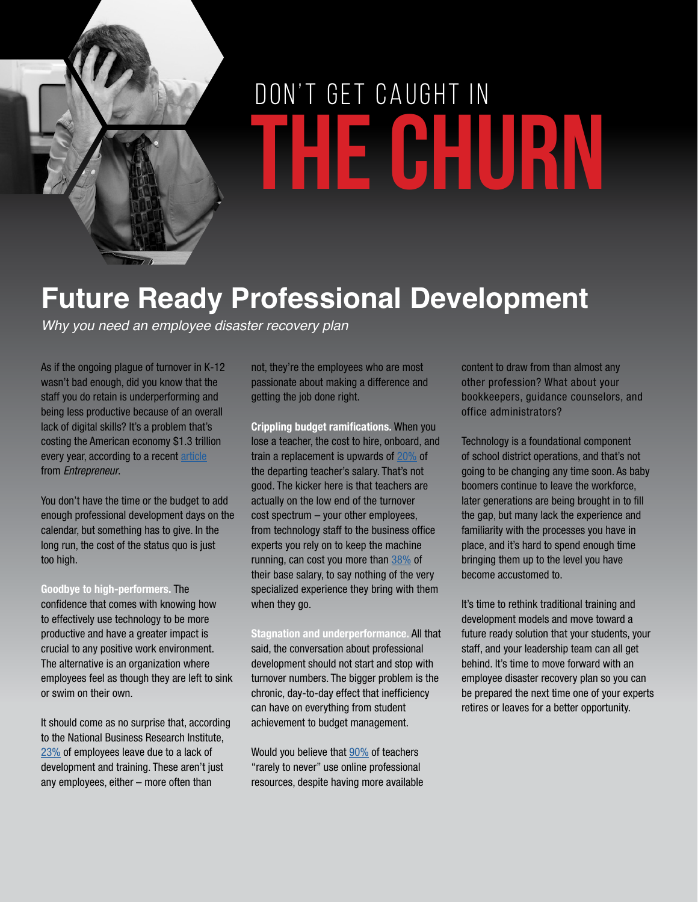

# **THE CHURN** DON'T GET CAUGHT IN

## **Future Ready Professional Development**

*Why you need an employee disaster recovery plan*

As if the ongoing plague of turnover in K-12 wasn't bad enough, did you know that the staff you do retain is underperforming and being less productive because of an overall lack of digital skills? It's a problem that's costing the American economy \$1.3 trillion every year, according to a recent [article](http://www.entrepreneur.com/article/235366) from *Entrepreneur*.

You don't have the time or the budget to add enough professional development days on the calendar, but something has to give. In the long run, the cost of the status quo is just too high.

**Goodbye to high-performers.** The confidence that comes with knowing how to effectively use technology to be more productive and have a greater impact is crucial to any positive work environment. The alternative is an organization where employees feel as though they are left to sink or swim on their own.

It should come as no surprise that, according to the National Business Research Institute, [23%](http://info.shiftelearning.com/blog/bid/247473/18-Mind-Blowing-eLearning-Statistics-You-Need-To-Know) of employees leave due to a lack of development and training. These aren't just any employees, either – more often than

not, they're the employees who are most passionate about making a difference and getting the job done right.

**Crippling budget ramifications.** When you lose a teacher, the cost to hire, onboard, and train a replacement is upwards of [20%](http://www.ascd.org/publications/researchbrief/v1n08/toc.aspx) of the departing teacher's salary. That's not good. The kicker here is that teachers are actually on the low end of the turnover cost spectrum – your other employees, from technology staff to the business office experts you rely on to keep the machine running, can cost you more than [38%](http://www.entrepreneur.com/answer/221223) of their base salary, to say nothing of the very specialized experience they bring with them when they go.

**Stagnation and underperformance.** All that said, the conversation about professional development should not start and stop with turnover numbers. The bigger problem is the chronic, day-to-day effect that inefficiency can have on everything from student achievement to budget management.

Would you believe that [90%](http://educators4excellence.s3.amazonaws.com/8/04/6/2752/E4E_ILInvestingFuture_Web.pdf) of teachers "rarely to never" use online professional resources, despite having more available

content to draw from than almost any other profession? What about your bookkeepers, guidance counselors, and office administrators?

Technology is a foundational component of school district operations, and that's not going to be changing any time soon. As baby boomers continue to leave the workforce, later generations are being brought in to fill the gap, but many lack the experience and familiarity with the processes you have in place, and it's hard to spend enough time bringing them up to the level you have become accustomed to.

It's time to rethink traditional training and development models and move toward a future ready solution that your students, your staff, and your leadership team can all get behind. It's time to move forward with an employee disaster recovery plan so you can be prepared the next time one of your experts retires or leaves for a better opportunity.